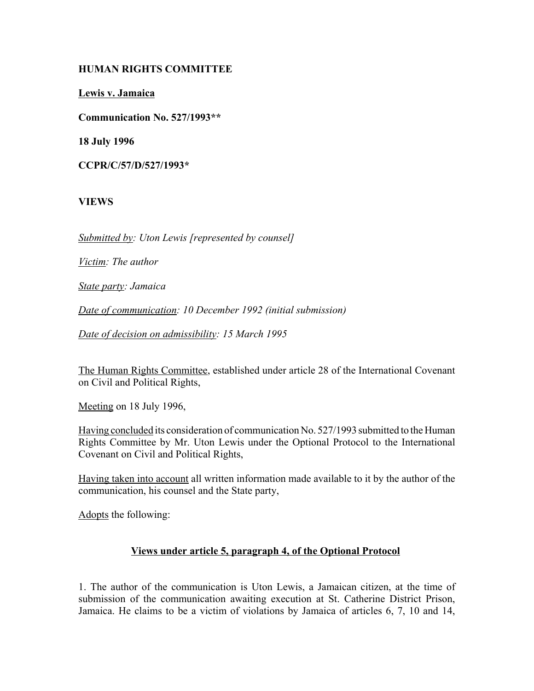# **HUMAN RIGHTS COMMITTEE**

**Lewis v. Jamaica**

**Communication No. 527/1993\*\***

**18 July 1996**

**CCPR/C/57/D/527/1993\***

# **VIEWS**

*Submitted by: Uton Lewis [represented by counsel]*

*Victim: The author*

*State party: Jamaica*

*Date of communication: 10 December 1992 (initial submission)* 

*Date of decision on admissibility: 15 March 1995*

The Human Rights Committee, established under article 28 of the International Covenant on Civil and Political Rights,

Meeting on 18 July 1996,

Having concluded its consideration of communication No. 527/1993 submitted to the Human Rights Committee by Mr. Uton Lewis under the Optional Protocol to the International Covenant on Civil and Political Rights,

Having taken into account all written information made available to it by the author of the communication, his counsel and the State party,

Adopts the following:

### **Views under article 5, paragraph 4, of the Optional Protocol**

1. The author of the communication is Uton Lewis, a Jamaican citizen, at the time of submission of the communication awaiting execution at St. Catherine District Prison, Jamaica. He claims to be a victim of violations by Jamaica of articles 6, 7, 10 and 14,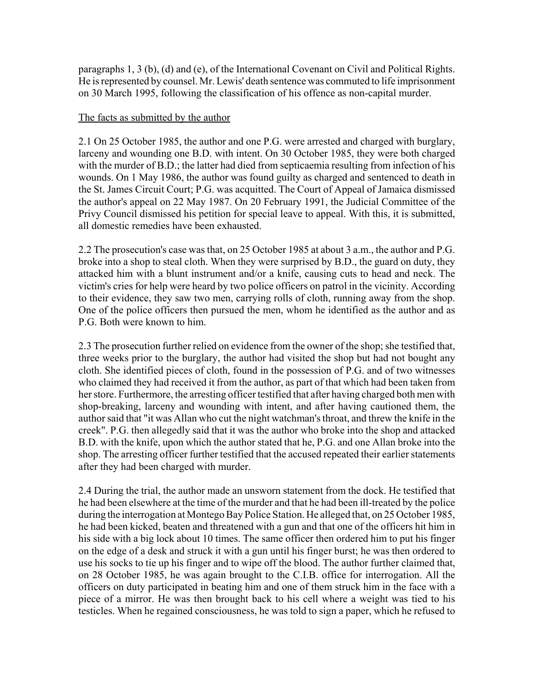paragraphs 1, 3 (b), (d) and (e), of the International Covenant on Civil and Political Rights. He is represented by counsel. Mr. Lewis' death sentence was commuted to life imprisonment on 30 March 1995, following the classification of his offence as non-capital murder.

### The facts as submitted by the author

2.1 On 25 October 1985, the author and one P.G. were arrested and charged with burglary, larceny and wounding one B.D. with intent. On 30 October 1985, they were both charged with the murder of B.D.; the latter had died from septicaemia resulting from infection of his wounds. On 1 May 1986, the author was found guilty as charged and sentenced to death in the St. James Circuit Court; P.G. was acquitted. The Court of Appeal of Jamaica dismissed the author's appeal on 22 May 1987. On 20 February 1991, the Judicial Committee of the Privy Council dismissed his petition for special leave to appeal. With this, it is submitted, all domestic remedies have been exhausted.

2.2 The prosecution's case was that, on 25 October 1985 at about 3 a.m., the author and P.G. broke into a shop to steal cloth. When they were surprised by B.D., the guard on duty, they attacked him with a blunt instrument and/or a knife, causing cuts to head and neck. The victim's cries for help were heard by two police officers on patrol in the vicinity. According to their evidence, they saw two men, carrying rolls of cloth, running away from the shop. One of the police officers then pursued the men, whom he identified as the author and as P.G. Both were known to him.

2.3 The prosecution further relied on evidence from the owner of the shop; she testified that, three weeks prior to the burglary, the author had visited the shop but had not bought any cloth. She identified pieces of cloth, found in the possession of P.G. and of two witnesses who claimed they had received it from the author, as part of that which had been taken from her store. Furthermore, the arresting officer testified that after having charged both men with shop-breaking, larceny and wounding with intent, and after having cautioned them, the author said that "it was Allan who cut the night watchman's throat, and threw the knife in the creek". P.G. then allegedly said that it was the author who broke into the shop and attacked B.D. with the knife, upon which the author stated that he, P.G. and one Allan broke into the shop. The arresting officer further testified that the accused repeated their earlier statements after they had been charged with murder.

2.4 During the trial, the author made an unsworn statement from the dock. He testified that he had been elsewhere at the time of the murder and that he had been ill-treated by the police during the interrogation at Montego Bay Police Station. He alleged that, on 25 October 1985, he had been kicked, beaten and threatened with a gun and that one of the officers hit him in his side with a big lock about 10 times. The same officer then ordered him to put his finger on the edge of a desk and struck it with a gun until his finger burst; he was then ordered to use his socks to tie up his finger and to wipe off the blood. The author further claimed that, on 28 October 1985, he was again brought to the C.I.B. office for interrogation. All the officers on duty participated in beating him and one of them struck him in the face with a piece of a mirror. He was then brought back to his cell where a weight was tied to his testicles. When he regained consciousness, he was told to sign a paper, which he refused to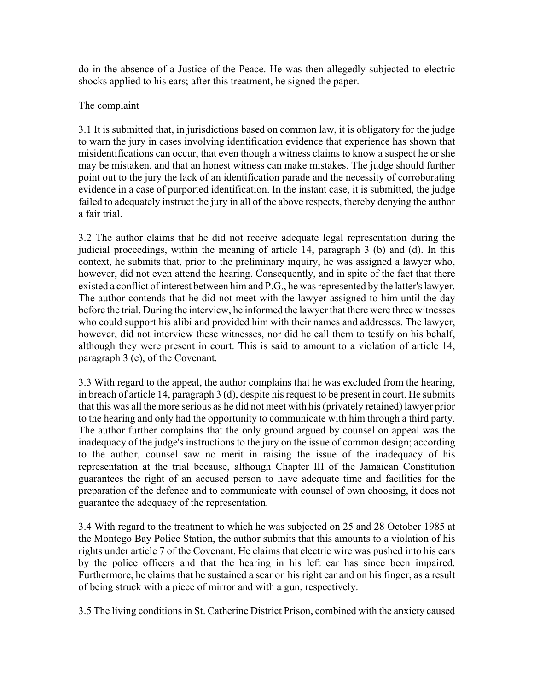do in the absence of a Justice of the Peace. He was then allegedly subjected to electric shocks applied to his ears; after this treatment, he signed the paper.

# The complaint

3.1 It is submitted that, in jurisdictions based on common law, it is obligatory for the judge to warn the jury in cases involving identification evidence that experience has shown that misidentifications can occur, that even though a witness claims to know a suspect he or she may be mistaken, and that an honest witness can make mistakes. The judge should further point out to the jury the lack of an identification parade and the necessity of corroborating evidence in a case of purported identification. In the instant case, it is submitted, the judge failed to adequately instruct the jury in all of the above respects, thereby denying the author a fair trial.

3.2 The author claims that he did not receive adequate legal representation during the judicial proceedings, within the meaning of article 14, paragraph 3 (b) and (d). In this context, he submits that, prior to the preliminary inquiry, he was assigned a lawyer who, however, did not even attend the hearing. Consequently, and in spite of the fact that there existed a conflict of interest between him and P.G., he was represented by the latter's lawyer. The author contends that he did not meet with the lawyer assigned to him until the day before the trial. During the interview, he informed the lawyer that there were three witnesses who could support his alibi and provided him with their names and addresses. The lawyer, however, did not interview these witnesses, nor did he call them to testify on his behalf, although they were present in court. This is said to amount to a violation of article 14, paragraph 3 (e), of the Covenant.

3.3 With regard to the appeal, the author complains that he was excluded from the hearing, in breach of article 14, paragraph 3 (d), despite his request to be present in court. He submits that this was all the more serious as he did not meet with his (privately retained) lawyer prior to the hearing and only had the opportunity to communicate with him through a third party. The author further complains that the only ground argued by counsel on appeal was the inadequacy of the judge's instructions to the jury on the issue of common design; according to the author, counsel saw no merit in raising the issue of the inadequacy of his representation at the trial because, although Chapter III of the Jamaican Constitution guarantees the right of an accused person to have adequate time and facilities for the preparation of the defence and to communicate with counsel of own choosing, it does not guarantee the adequacy of the representation.

3.4 With regard to the treatment to which he was subjected on 25 and 28 October 1985 at the Montego Bay Police Station, the author submits that this amounts to a violation of his rights under article 7 of the Covenant. He claims that electric wire was pushed into his ears by the police officers and that the hearing in his left ear has since been impaired. Furthermore, he claims that he sustained a scar on his right ear and on his finger, as a result of being struck with a piece of mirror and with a gun, respectively.

3.5 The living conditions in St. Catherine District Prison, combined with the anxiety caused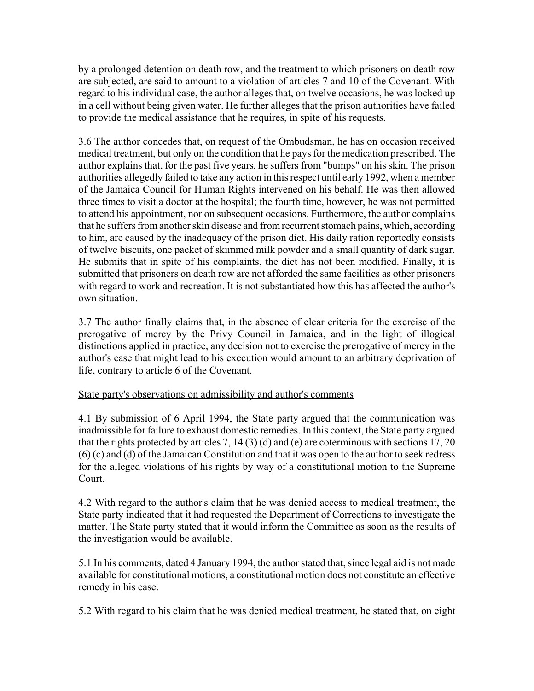by a prolonged detention on death row, and the treatment to which prisoners on death row are subjected, are said to amount to a violation of articles 7 and 10 of the Covenant. With regard to his individual case, the author alleges that, on twelve occasions, he was locked up in a cell without being given water. He further alleges that the prison authorities have failed to provide the medical assistance that he requires, in spite of his requests.

3.6 The author concedes that, on request of the Ombudsman, he has on occasion received medical treatment, but only on the condition that he pays for the medication prescribed. The author explains that, for the past five years, he suffers from "bumps" on his skin. The prison authorities allegedly failed to take any action in this respect until early 1992, when a member of the Jamaica Council for Human Rights intervened on his behalf. He was then allowed three times to visit a doctor at the hospital; the fourth time, however, he was not permitted to attend his appointment, nor on subsequent occasions. Furthermore, the author complains that he suffers from another skin disease and from recurrent stomach pains, which, according to him, are caused by the inadequacy of the prison diet. His daily ration reportedly consists of twelve biscuits, one packet of skimmed milk powder and a small quantity of dark sugar. He submits that in spite of his complaints, the diet has not been modified. Finally, it is submitted that prisoners on death row are not afforded the same facilities as other prisoners with regard to work and recreation. It is not substantiated how this has affected the author's own situation.

3.7 The author finally claims that, in the absence of clear criteria for the exercise of the prerogative of mercy by the Privy Council in Jamaica, and in the light of illogical distinctions applied in practice, any decision not to exercise the prerogative of mercy in the author's case that might lead to his execution would amount to an arbitrary deprivation of life, contrary to article 6 of the Covenant.

# State party's observations on admissibility and author's comments

4.1 By submission of 6 April 1994, the State party argued that the communication was inadmissible for failure to exhaust domestic remedies. In this context, the State party argued that the rights protected by articles 7, 14 (3) (d) and (e) are coterminous with sections 17, 20 (6) (c) and (d) of the Jamaican Constitution and that it was open to the author to seek redress for the alleged violations of his rights by way of a constitutional motion to the Supreme Court.

4.2 With regard to the author's claim that he was denied access to medical treatment, the State party indicated that it had requested the Department of Corrections to investigate the matter. The State party stated that it would inform the Committee as soon as the results of the investigation would be available.

5.1 In his comments, dated 4 January 1994, the author stated that, since legal aid is not made available for constitutional motions, a constitutional motion does not constitute an effective remedy in his case.

5.2 With regard to his claim that he was denied medical treatment, he stated that, on eight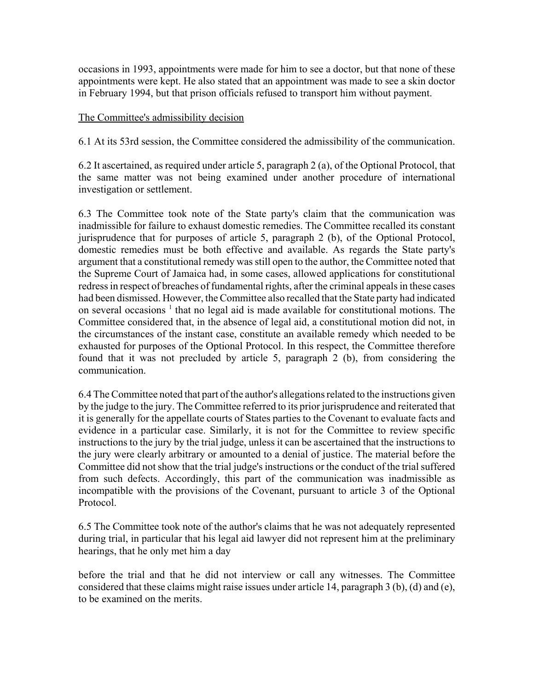occasions in 1993, appointments were made for him to see a doctor, but that none of these appointments were kept. He also stated that an appointment was made to see a skin doctor in February 1994, but that prison officials refused to transport him without payment.

## The Committee's admissibility decision

6.1 At its 53rd session, the Committee considered the admissibility of the communication.

6.2 It ascertained, as required under article 5, paragraph 2 (a), of the Optional Protocol, that the same matter was not being examined under another procedure of international investigation or settlement.

6.3 The Committee took note of the State party's claim that the communication was inadmissible for failure to exhaust domestic remedies. The Committee recalled its constant jurisprudence that for purposes of article 5, paragraph 2 (b), of the Optional Protocol, domestic remedies must be both effective and available. As regards the State party's argument that a constitutional remedy was still open to the author, the Committee noted that the Supreme Court of Jamaica had, in some cases, allowed applications for constitutional redress in respect of breaches of fundamental rights, after the criminal appeals in these cases had been dismissed. However, the Committee also recalled that the State party had indicated on several occasions<sup>1</sup> that no legal aid is made available for constitutional motions. The Committee considered that, in the absence of legal aid, a constitutional motion did not, in the circumstances of the instant case, constitute an available remedy which needed to be exhausted for purposes of the Optional Protocol. In this respect, the Committee therefore found that it was not precluded by article 5, paragraph 2 (b), from considering the communication.

6.4 The Committee noted that part of the author's allegations related to the instructions given by the judge to the jury. The Committee referred to its prior jurisprudence and reiterated that it is generally for the appellate courts of States parties to the Covenant to evaluate facts and evidence in a particular case. Similarly, it is not for the Committee to review specific instructions to the jury by the trial judge, unless it can be ascertained that the instructions to the jury were clearly arbitrary or amounted to a denial of justice. The material before the Committee did not show that the trial judge's instructions or the conduct of the trial suffered from such defects. Accordingly, this part of the communication was inadmissible as incompatible with the provisions of the Covenant, pursuant to article 3 of the Optional Protocol.

6.5 The Committee took note of the author's claims that he was not adequately represented during trial, in particular that his legal aid lawyer did not represent him at the preliminary hearings, that he only met him a day

before the trial and that he did not interview or call any witnesses. The Committee considered that these claims might raise issues under article 14, paragraph 3 (b), (d) and (e), to be examined on the merits.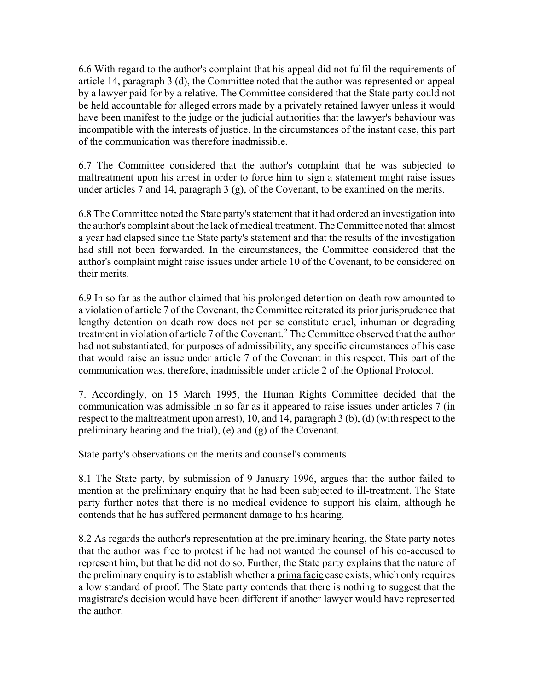6.6 With regard to the author's complaint that his appeal did not fulfil the requirements of article 14, paragraph 3 (d), the Committee noted that the author was represented on appeal by a lawyer paid for by a relative. The Committee considered that the State party could not be held accountable for alleged errors made by a privately retained lawyer unless it would have been manifest to the judge or the judicial authorities that the lawyer's behaviour was incompatible with the interests of justice. In the circumstances of the instant case, this part of the communication was therefore inadmissible.

6.7 The Committee considered that the author's complaint that he was subjected to maltreatment upon his arrest in order to force him to sign a statement might raise issues under articles 7 and 14, paragraph 3 (g), of the Covenant, to be examined on the merits.

6.8 The Committee noted the State party's statement that it had ordered an investigation into the author's complaint about the lack of medical treatment. The Committee noted that almost a year had elapsed since the State party's statement and that the results of the investigation had still not been forwarded. In the circumstances, the Committee considered that the author's complaint might raise issues under article 10 of the Covenant, to be considered on their merits.

6.9 In so far as the author claimed that his prolonged detention on death row amounted to a violation of article 7 of the Covenant, the Committee reiterated its prior jurisprudence that lengthy detention on death row does not per se constitute cruel, inhuman or degrading treatment in violation of article 7 of the Covenant. 2 The Committee observed that the author had not substantiated, for purposes of admissibility, any specific circumstances of his case that would raise an issue under article 7 of the Covenant in this respect. This part of the communication was, therefore, inadmissible under article 2 of the Optional Protocol.

7. Accordingly, on 15 March 1995, the Human Rights Committee decided that the communication was admissible in so far as it appeared to raise issues under articles 7 (in respect to the maltreatment upon arrest), 10, and 14, paragraph 3 (b), (d) (with respect to the preliminary hearing and the trial), (e) and (g) of the Covenant.

### State party's observations on the merits and counsel's comments

8.1 The State party, by submission of 9 January 1996, argues that the author failed to mention at the preliminary enquiry that he had been subjected to ill-treatment. The State party further notes that there is no medical evidence to support his claim, although he contends that he has suffered permanent damage to his hearing.

8.2 As regards the author's representation at the preliminary hearing, the State party notes that the author was free to protest if he had not wanted the counsel of his co-accused to represent him, but that he did not do so. Further, the State party explains that the nature of the preliminary enquiry is to establish whether a prima facie case exists, which only requires a low standard of proof. The State party contends that there is nothing to suggest that the magistrate's decision would have been different if another lawyer would have represented the author.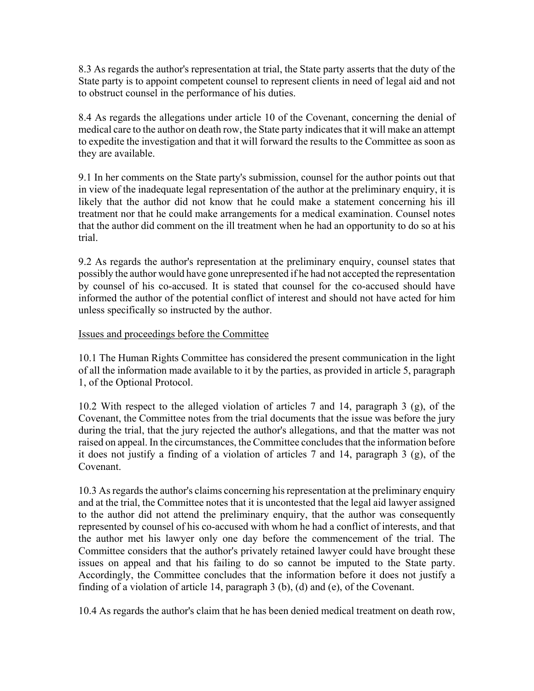8.3 As regards the author's representation at trial, the State party asserts that the duty of the State party is to appoint competent counsel to represent clients in need of legal aid and not to obstruct counsel in the performance of his duties.

8.4 As regards the allegations under article 10 of the Covenant, concerning the denial of medical care to the author on death row, the State party indicates that it will make an attempt to expedite the investigation and that it will forward the results to the Committee as soon as they are available.

9.1 In her comments on the State party's submission, counsel for the author points out that in view of the inadequate legal representation of the author at the preliminary enquiry, it is likely that the author did not know that he could make a statement concerning his ill treatment nor that he could make arrangements for a medical examination. Counsel notes that the author did comment on the ill treatment when he had an opportunity to do so at his trial.

9.2 As regards the author's representation at the preliminary enquiry, counsel states that possibly the author would have gone unrepresented if he had not accepted the representation by counsel of his co-accused. It is stated that counsel for the co-accused should have informed the author of the potential conflict of interest and should not have acted for him unless specifically so instructed by the author.

# Issues and proceedings before the Committee

10.1 The Human Rights Committee has considered the present communication in the light of all the information made available to it by the parties, as provided in article 5, paragraph 1, of the Optional Protocol.

10.2 With respect to the alleged violation of articles 7 and 14, paragraph 3 (g), of the Covenant, the Committee notes from the trial documents that the issue was before the jury during the trial, that the jury rejected the author's allegations, and that the matter was not raised on appeal. In the circumstances, the Committee concludes that the information before it does not justify a finding of a violation of articles 7 and 14, paragraph 3 (g), of the Covenant.

10.3 As regards the author's claims concerning his representation at the preliminary enquiry and at the trial, the Committee notes that it is uncontested that the legal aid lawyer assigned to the author did not attend the preliminary enquiry, that the author was consequently represented by counsel of his co-accused with whom he had a conflict of interests, and that the author met his lawyer only one day before the commencement of the trial. The Committee considers that the author's privately retained lawyer could have brought these issues on appeal and that his failing to do so cannot be imputed to the State party. Accordingly, the Committee concludes that the information before it does not justify a finding of a violation of article 14, paragraph 3 (b), (d) and (e), of the Covenant.

10.4 As regards the author's claim that he has been denied medical treatment on death row,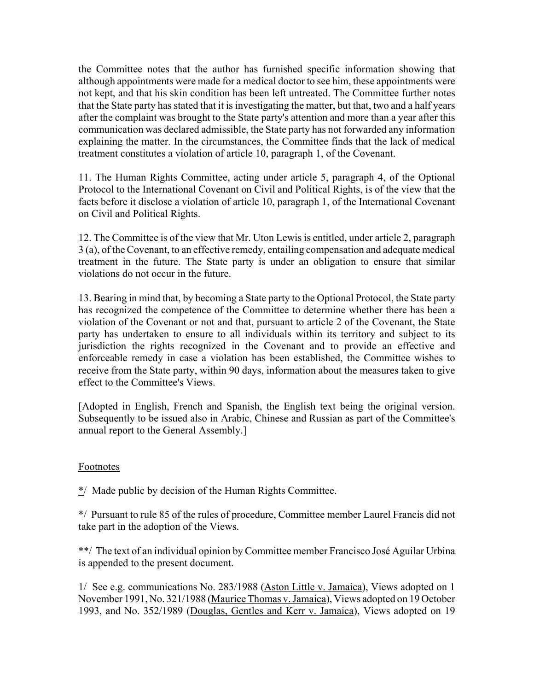the Committee notes that the author has furnished specific information showing that although appointments were made for a medical doctor to see him, these appointments were not kept, and that his skin condition has been left untreated. The Committee further notes that the State party has stated that it is investigating the matter, but that, two and a half years after the complaint was brought to the State party's attention and more than a year after this communication was declared admissible, the State party has not forwarded any information explaining the matter. In the circumstances, the Committee finds that the lack of medical treatment constitutes a violation of article 10, paragraph 1, of the Covenant.

11. The Human Rights Committee, acting under article 5, paragraph 4, of the Optional Protocol to the International Covenant on Civil and Political Rights, is of the view that the facts before it disclose a violation of article 10, paragraph 1, of the International Covenant on Civil and Political Rights.

12. The Committee is of the view that Mr. Uton Lewis is entitled, under article 2, paragraph 3 (a), of the Covenant, to an effective remedy, entailing compensation and adequate medical treatment in the future. The State party is under an obligation to ensure that similar violations do not occur in the future.

13. Bearing in mind that, by becoming a State party to the Optional Protocol, the State party has recognized the competence of the Committee to determine whether there has been a violation of the Covenant or not and that, pursuant to article 2 of the Covenant, the State party has undertaken to ensure to all individuals within its territory and subject to its jurisdiction the rights recognized in the Covenant and to provide an effective and enforceable remedy in case a violation has been established, the Committee wishes to receive from the State party, within 90 days, information about the measures taken to give effect to the Committee's Views.

[Adopted in English, French and Spanish, the English text being the original version. Subsequently to be issued also in Arabic, Chinese and Russian as part of the Committee's annual report to the General Assembly.]

### Footnotes

\*/ Made public by decision of the Human Rights Committee.

\*/ Pursuant to rule 85 of the rules of procedure, Committee member Laurel Francis did not take part in the adoption of the Views.

\*\*/ The text of an individual opinion by Committee member Francisco José Aguilar Urbina is appended to the present document.

1/ See e.g. communications No. 283/1988 (Aston Little v. Jamaica), Views adopted on 1 November 1991, No. 321/1988 (Maurice Thomas v. Jamaica), Views adopted on 19 October 1993, and No. 352/1989 (Douglas, Gentles and Kerr v. Jamaica), Views adopted on 19